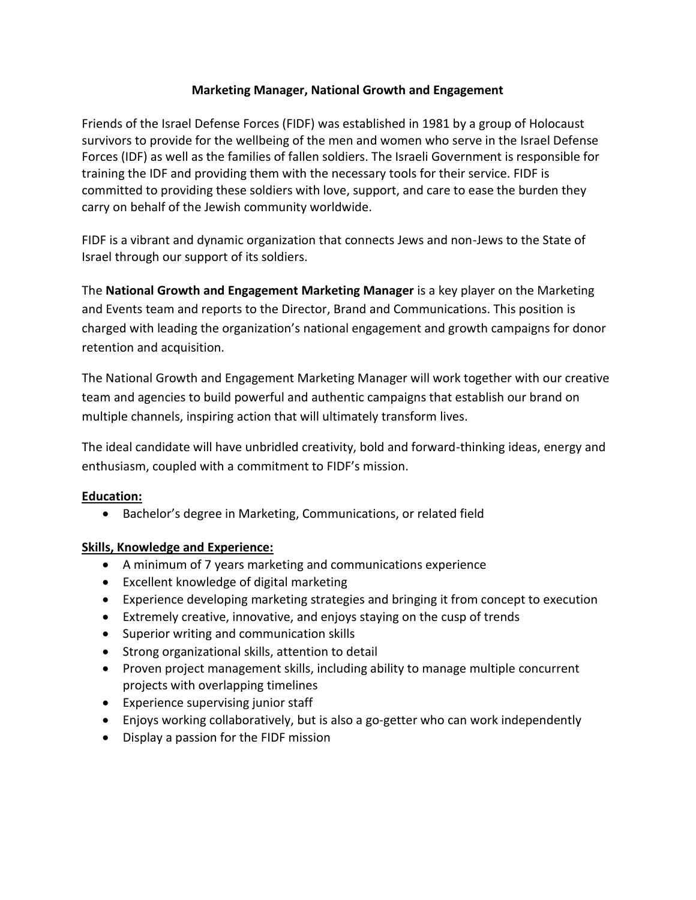## **Marketing Manager, National Growth and Engagement**

Friends of the Israel Defense Forces (FIDF) was established in 1981 by a group of Holocaust survivors to provide for the wellbeing of the men and women who serve in the Israel Defense Forces (IDF) as well as the families of fallen soldiers. The Israeli Government is responsible for training the IDF and providing them with the necessary tools for their service. FIDF is committed to providing these soldiers with love, support, and care to ease the burden they carry on behalf of the Jewish community worldwide.

FIDF is a vibrant and dynamic organization that connects Jews and non-Jews to the State of Israel through our support of its soldiers.

The **National Growth and Engagement Marketing Manager** is a key player on the Marketing and Events team and reports to the Director, Brand and Communications. This position is charged with leading the organization's national engagement and growth campaigns for donor retention and acquisition.

The National Growth and Engagement Marketing Manager will work together with our creative team and agencies to build powerful and authentic campaigns that establish our brand on multiple channels, inspiring action that will ultimately transform lives.

The ideal candidate will have unbridled creativity, bold and forward-thinking ideas, energy and enthusiasm, coupled with a commitment to FIDF's mission.

## **Education:**

• Bachelor's degree in Marketing, Communications, or related field

## **Skills, Knowledge and Experience:**

- A minimum of 7 years marketing and communications experience
- Excellent knowledge of digital marketing
- Experience developing marketing strategies and bringing it from concept to execution
- Extremely creative, innovative, and enjoys staying on the cusp of trends
- Superior writing and communication skills
- Strong organizational skills, attention to detail
- Proven project management skills, including ability to manage multiple concurrent projects with overlapping timelines
- Experience supervising junior staff
- Enjoys working collaboratively, but is also a go-getter who can work independently
- Display a passion for the FIDF mission